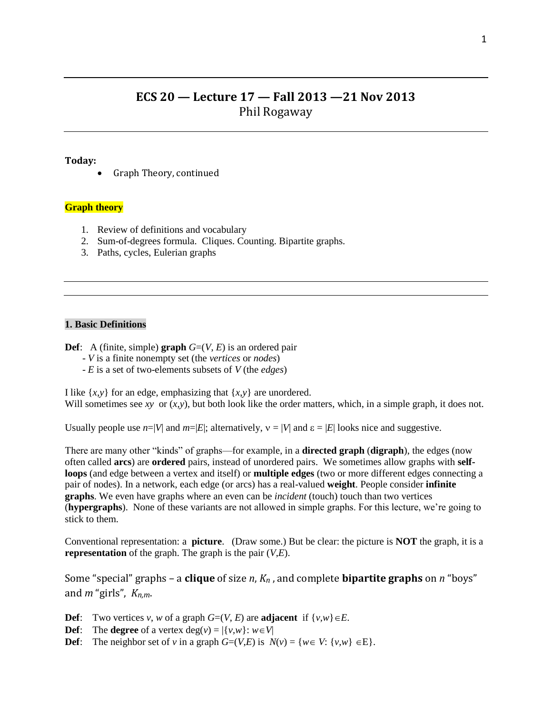# **ECS 20 — Lecture 17 — Fall 2013 —21 Nov 2013** Phil Rogaway

### **Today:**

Graph Theory, continued

#### **Graph theory**

- 1. Review of definitions and vocabulary
- 2. Sum-of-degrees formula. Cliques. Counting. Bipartite graphs.
- 3. Paths, cycles, Eulerian graphs

## **1. Basic Definitions**

**Def**: A (finite, simple) **graph**  $G=(V, E)$  is an ordered pair

- *V* is a finite nonempty set (the *vertices* or *nodes*)
- *E* is a set of two-elements subsets of *V* (the *edges*)

I like  $\{x, y\}$  for an edge, emphasizing that  $\{x, y\}$  are unordered. Will sometimes see *xy* or  $(x, y)$ , but both look like the order matters, which, in a simple graph, it does not.

Usually people use  $n=|V|$  and  $m=|E|$ ; alternatively,  $v=|V|$  and  $\varepsilon=|E|$  looks nice and suggestive.

There are many other "kinds" of graphs—for example, in a **directed graph** (**digraph**), the edges (now often called **arcs**) are **ordered** pairs, instead of unordered pairs. We sometimes allow graphs with **selfloops** (and edge between a vertex and itself) or **multiple edges** (two or more different edges connecting a pair of nodes). In a network, each edge (or arcs) has a real-valued **weight**. People consider **infinite graphs**. We even have graphs where an even can be *incident* (touch) touch than two vertices (**hypergraphs**). None of these variants are not allowed in simple graphs. For this lecture, we're going to stick to them.

Conventional representation: a **picture**. (Draw some.) But be clear: the picture is **NOT** the graph, it is a **representation** of the graph. The graph is the pair (*V*,*E*).

Some "special" graphs – a **clique** of size *n*, *Kn* , and complete **bipartite graphs** on *n* "boys" and *m* "girls", *Kn,m*.

- **Def**: Two vertices *v*, *w* of a graph  $G=(V, E)$  are **adjacent** if  $\{v, w\} \in E$ .
- **Def**: The **degree** of a vertex  $deg(v) = |\{v, w\} : w \in V|$
- **Def**: The neighbor set of *v* in a graph  $G=(V,E)$  is  $N(v) = \{w \in V: \{v,w\} \in E\}.$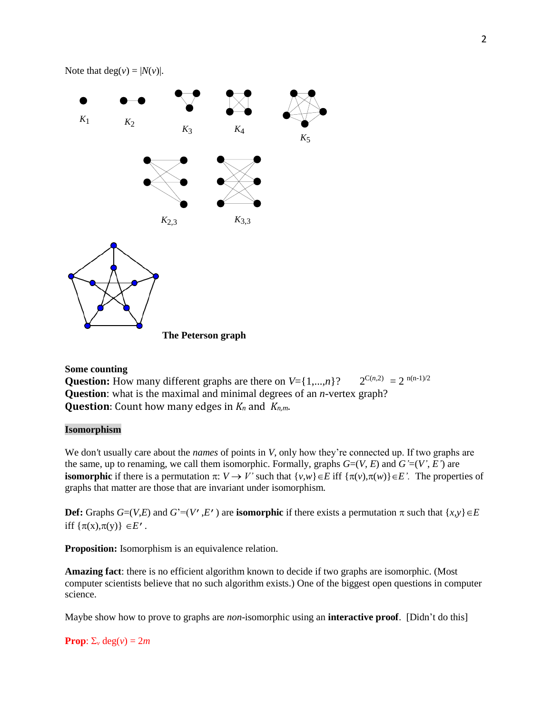



**The Peterson graph**

## **Some counting**

**Question:** How many different graphs are there on  $V = \{1,...,n\}$ ?  $2^{C(n,2)} = 2^{n(n-1)/2}$ **Question**: what is the maximal and minimal degrees of an *n*-vertex graph? **Question**: Count how many edges in *K<sup>n</sup>* and *Kn,m*.

## **Isomorphism**

We don't usually care about the *names* of points in *V*, only how they're connected up. If two graphs are the same, up to renaming, we call them isomorphic. Formally, graphs  $G=(V, E)$  and  $G'=(V', E')$  are **isomorphic** if there is a permutation  $\pi: V \to V'$  such that  $\{v,w\} \in E$  iff  $\{\pi(v), \pi(w)\} \in E'$ . The properties of graphs that matter are those that are invariant under isomorphism*.* 

**Def:** Graphs  $G=(V,E)$  and  $G'=(V',E')$  are **isomorphic** if there exists a permutation  $\pi$  such that  $\{x,y\} \in E$ iff  $\{\pi(x), \pi(y)\}\in E'$ .

**Proposition:** Isomorphism is an equivalence relation.

**Amazing fact**: there is no efficient algorithm known to decide if two graphs are isomorphic. (Most computer scientists believe that no such algorithm exists.) One of the biggest open questions in computer science.

Maybe show how to prove to graphs are *non*-isomorphic using an **interactive proof**. [Didn't do this]

**Prop**:  $\Sigma_v$  deg(*v*) = 2*m*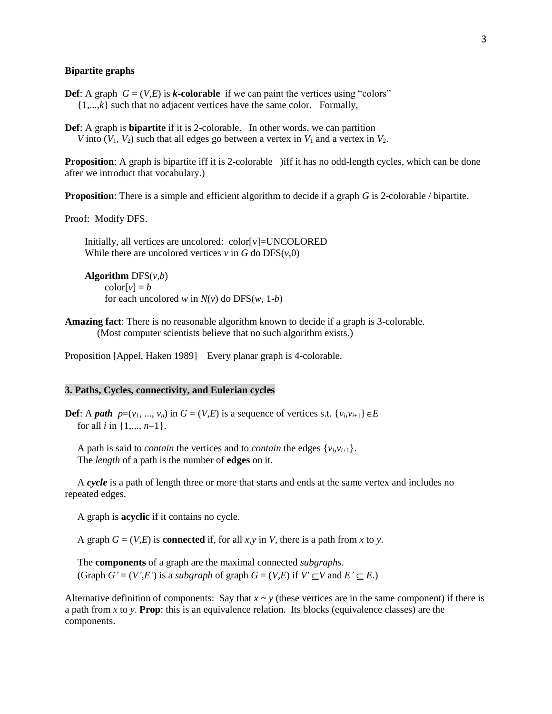#### **Bipartite graphs**

- **Def**: A graph  $G = (V,E)$  is *k***-colorable** if we can paint the vertices using "colors"  $\{1,...,k\}$  such that no adjacent vertices have the same color. Formally,
- **Def**: A graph is **bipartite** if it is 2-colorable. In other words, we can partition *V* into  $(V_1, V_2)$  such that all edges go between a vertex in  $V_1$  and a vertex in  $V_2$ .

**Proposition**: A graph is bipartite iff it is 2-colorable ) iff it has no odd-length cycles, which can be done after we introduct that vocabulary.)

**Proposition**: There is a simple and efficient algorithm to decide if a graph *G* is 2-colorable / bipartite.

Proof: Modify DFS.

 Initially, all vertices are uncolored: color[v]=UNCOLORED While there are uncolored vertices  $v$  in  $G$  do  $DFS(v, 0)$ 

 **Algorithm** DFS(*v,b*)  $\text{color}[v] = b$ for each uncolored *w* in  $N(v)$  do DFS(*w*, 1-*b*)

**Amazing fact**: There is no reasonable algorithm known to decide if a graph is 3-colorable. (Most computer scientists believe that no such algorithm exists.)

Proposition [Appel, Haken 1989] Every planar graph is 4-colorable.

#### **3. Paths, Cycles, connectivity, and Eulerian cycles**

**Def**: A *path*  $p=(v_1, ..., v_n)$  in  $G = (V,E)$  is a sequence of vertices s.t.  $\{v_i, v_{i+1}\}\in E$ for all *i* in  $\{1, ..., n-1\}$ .

A path is said to *contain* the vertices and to *contain* the edges  $\{v_i, v_{i+1}\}$ . The *length* of a path is the number of **edges** on it.

 A *cycle* is a path of length three or more that starts and ends at the same vertex and includes no repeated edges.

A graph is **acyclic** if it contains no cycle.

A graph  $G = (V,E)$  is **connected** if, for all *x*, *y* in *V*, there is a path from *x* to *y*.

 The **components** of a graph are the maximal connected *subgraphs*. (Graph  $G' = (V', E')$  is a *subgraph* of graph  $G = (V, E)$  if  $V' \subseteq V$  and  $E' \subseteq E$ .)

Alternative definition of components: Say that  $x \sim y$  (these vertices are in the same component) if there is a path from *x* to *y*. **Prop**: this is an equivalence relation. Its blocks (equivalence classes) are the components.